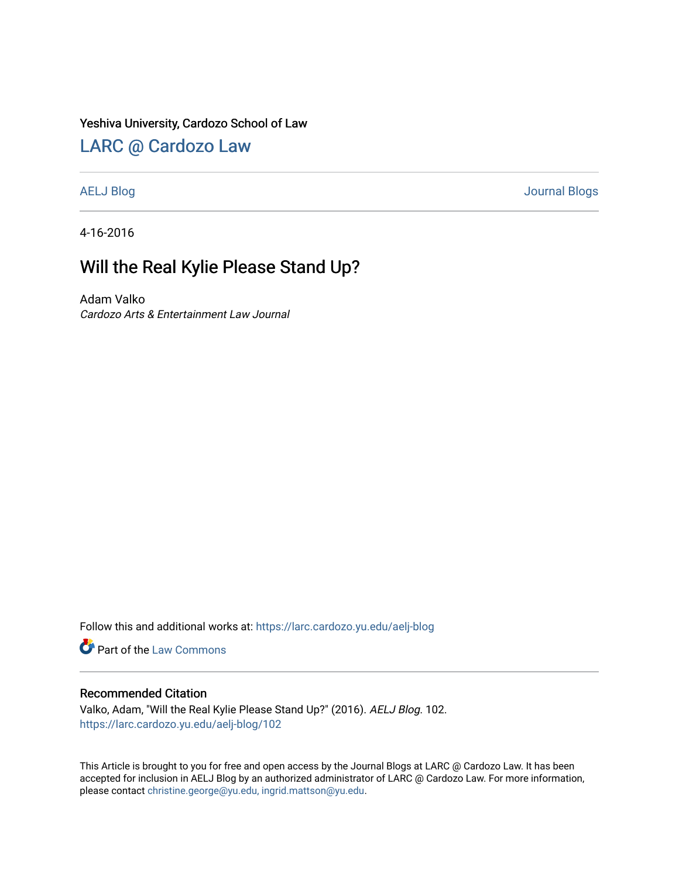### Yeshiva University, Cardozo School of Law

## [LARC @ Cardozo Law](https://larc.cardozo.yu.edu/)

[AELJ Blog](https://larc.cardozo.yu.edu/aelj-blog) [Journal Blogs](https://larc.cardozo.yu.edu/journal-blogs) 

4-16-2016

## Will the Real Kylie Please Stand Up?

Adam Valko Cardozo Arts & Entertainment Law Journal

Follow this and additional works at: [https://larc.cardozo.yu.edu/aelj-blog](https://larc.cardozo.yu.edu/aelj-blog?utm_source=larc.cardozo.yu.edu%2Faelj-blog%2F102&utm_medium=PDF&utm_campaign=PDFCoverPages) 

Part of the [Law Commons](http://network.bepress.com/hgg/discipline/578?utm_source=larc.cardozo.yu.edu%2Faelj-blog%2F102&utm_medium=PDF&utm_campaign=PDFCoverPages)

#### Recommended Citation

Valko, Adam, "Will the Real Kylie Please Stand Up?" (2016). AELJ Blog. 102. [https://larc.cardozo.yu.edu/aelj-blog/102](https://larc.cardozo.yu.edu/aelj-blog/102?utm_source=larc.cardozo.yu.edu%2Faelj-blog%2F102&utm_medium=PDF&utm_campaign=PDFCoverPages) 

This Article is brought to you for free and open access by the Journal Blogs at LARC @ Cardozo Law. It has been accepted for inclusion in AELJ Blog by an authorized administrator of LARC @ Cardozo Law. For more information, please contact [christine.george@yu.edu, ingrid.mattson@yu.edu.](mailto:christine.george@yu.edu,%20ingrid.mattson@yu.edu)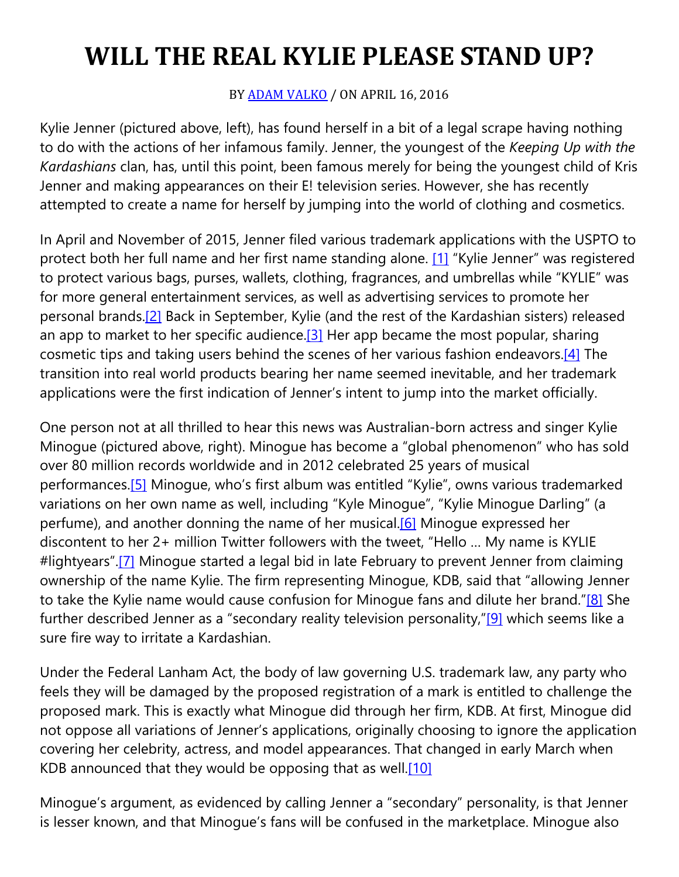# **WILL THE REAL KYLIE PLEASE STAND UP?**

## BY [ADAM VALKO](https://cardozoaelj.com/author/adam-valko/) / ON APRIL 16, 2016

Kylie Jenner (pictured above, left), has found herself in a bit of a legal scrape having nothing to do with the actions of her infamous family. Jenner, the youngest of the *Keeping Up with the Kardashians* clan, has, until this point, been famous merely for being the youngest child of Kris Jenner and making appearances on their E! television series. However, she has recently attempted to create a name for herself by jumping into the world of clothing and cosmetics.

In April and November of 2015, Jenner filed various trademark applications with the USPTO to protect both her full name and her first name standing alone. [\[1\]](https://cardozoaelj.com/2016/04/16/will-the-real-kylie-please-stand-up/#_ftn1) "Kylie Jenner" was registered to protect various bags, purses, wallets, clothing, fragrances, and umbrellas while "KYLIE" was for more general entertainment services, as well as advertising services to promote her personal brands[.\[2\]](https://cardozoaelj.com/2016/04/16/will-the-real-kylie-please-stand-up/#_ftn2) Back in September, Kylie (and the rest of the Kardashian sisters) released an app to market to her specific audience.<sup>[3]</sup> Her app became the most popular, sharing cosmetic tips and taking users behind the scenes of her various fashion endeavors[.\[4\]](https://cardozoaelj.com/2016/04/16/will-the-real-kylie-please-stand-up/#_ftn4) The transition into real world products bearing her name seemed inevitable, and her trademark applications were the first indication of Jenner's intent to jump into the market officially.

One person not at all thrilled to hear this news was Australian-born actress and singer Kylie Minogue (pictured above, right). Minogue has become a "global phenomenon" who has sold over 80 million records worldwide and in 2012 celebrated 25 years of musical performances[.\[5\]](https://cardozoaelj.com/2016/04/16/will-the-real-kylie-please-stand-up/#_ftn5) Minogue, who's first album was entitled "Kylie", owns various trademarked variations on her own name as well, including "Kyle Minogue", "Kylie Minogue Darling" (a perfume), and another donning the name of her musical.<sup>[6]</sup> Minoque expressed her discontent to her 2+ million Twitter followers with the tweet, "Hello … My name is KYLIE #lightyears".<sup>[7]</sup> Minogue started a legal bid in late February to prevent Jenner from claiming ownership of the name Kylie. The firm representing Minogue, KDB, said that "allowing Jenner to take the Kylie name would cause confusion for Minoque fans and dilute her brand.["\[8\]](https://cardozoaelj.com/2016/04/16/will-the-real-kylie-please-stand-up/#_ftn8) She further described Jenner as a "secondary reality television personality,["\[9\]](https://cardozoaelj.com/2016/04/16/will-the-real-kylie-please-stand-up/#_ftn9) which seems like a sure fire way to irritate a Kardashian.

Under the Federal Lanham Act, the body of law governing U.S. trademark law, any party who feels they will be damaged by the proposed registration of a mark is entitled to challenge the proposed mark. This is exactly what Minogue did through her firm, KDB. At first, Minogue did not oppose all variations of Jenner's applications, originally choosing to ignore the application covering her celebrity, actress, and model appearances. That changed in early March when KDB announced that they would be opposing that as well.<sup>[10]</sup>

Minogue's argument, as evidenced by calling Jenner a "secondary" personality, is that Jenner is lesser known, and that Minogue's fans will be confused in the marketplace. Minogue also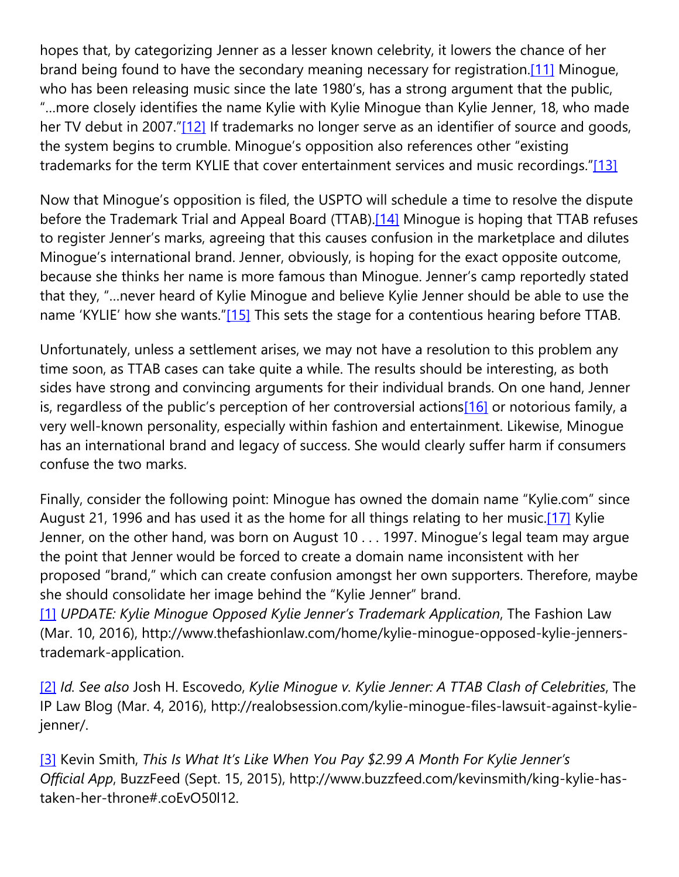hopes that, by categorizing Jenner as a lesser known celebrity, it lowers the chance of her brand being found to have the secondary meaning necessary for registration.<sup>[11]</sup> Minogue, who has been releasing music since the late 1980's, has a strong argument that the public, "…more closely identifies the name Kylie with Kylie Minogue than Kylie Jenner, 18, who made her TV debut in 2007.["\[12\]](https://cardozoaelj.com/2016/04/16/will-the-real-kylie-please-stand-up/#_ftn12) If trademarks no longer serve as an identifier of source and goods, the system begins to crumble. Minogue's opposition also references other "existing trademarks for the term KYLIE that cover entertainment services and music recordings.["\[13\]](https://cardozoaelj.com/2016/04/16/will-the-real-kylie-please-stand-up/#_ftn13)

Now that Minogue's opposition is filed, the USPTO will schedule a time to resolve the dispute before the Trademark Trial and Appeal Board (TTAB)[.\[14\]](https://cardozoaelj.com/2016/04/16/will-the-real-kylie-please-stand-up/#_ftn14) Minogue is hoping that TTAB refuses to register Jenner's marks, agreeing that this causes confusion in the marketplace and dilutes Minogue's international brand. Jenner, obviously, is hoping for the exact opposite outcome, because she thinks her name is more famous than Minogue. Jenner's camp reportedly stated that they, "…never heard of Kylie Minogue and believe Kylie Jenner should be able to use the name 'KYLIE' how she wants.["\[15\]](https://cardozoaelj.com/2016/04/16/will-the-real-kylie-please-stand-up/#_ftn15) This sets the stage for a contentious hearing before TTAB.

Unfortunately, unless a settlement arises, we may not have a resolution to this problem any time soon, as TTAB cases can take quite a while. The results should be interesting, as both sides have strong and convincing arguments for their individual brands. On one hand, Jenner is, regardless of the public's perception of her controversial actions<sup>[16]</sup> or notorious family, a very well-known personality, especially within fashion and entertainment. Likewise, Minogue has an international brand and legacy of success. She would clearly suffer harm if consumers confuse the two marks.

Finally, consider the following point: Minogue has owned the domain name "Kylie.com" since August 21, 1996 and has used it as the home for all things relating to her music[.\[17\]](https://cardozoaelj.com/2016/04/16/will-the-real-kylie-please-stand-up/#_ftn17) Kylie Jenner, on the other hand, was born on August 10 . . . 1997. Minogue's legal team may argue the point that Jenner would be forced to create a domain name inconsistent with her proposed "brand," which can create confusion amongst her own supporters. Therefore, maybe she should consolidate her image behind the "Kylie Jenner" brand.

[\[1\]](https://cardozoaelj.com/2016/04/16/will-the-real-kylie-please-stand-up/#_ftnref1) *UPDATE: Kylie Minogue Opposed Kylie Jenner's Trademark Application*, The Fashion Law (Mar. 10, 2016), http://www.thefashionlaw.com/home/kylie-minogue-opposed-kylie-jennerstrademark-application.

[\[2\]](https://cardozoaelj.com/2016/04/16/will-the-real-kylie-please-stand-up/#_ftnref2) *Id. See also* Josh H. Escovedo, *Kylie Minogue v. Kylie Jenner: A TTAB Clash of Celebrities*, The IP Law Blog (Mar. 4, 2016), http://realobsession.com/kylie-minogue-files-lawsuit-against-kyliejenner/.

[\[3\]](https://cardozoaelj.com/2016/04/16/will-the-real-kylie-please-stand-up/#_ftnref3) Kevin Smith, *This Is What It's Like When You Pay \$2.99 A Month For Kylie Jenner's Official App*, BuzzFeed (Sept. 15, 2015), http://www.buzzfeed.com/kevinsmith/king-kylie-hastaken-her-throne#.coEvO50l12.